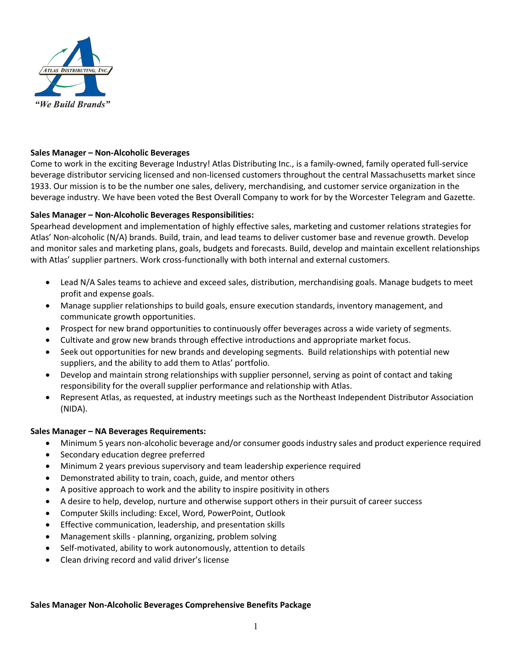

## **Sales Manager – Non-Alcoholic Beverages**

Come to work in the exciting Beverage Industry! Atlas Distributing Inc., is a family-owned, family operated full-service beverage distributor servicing licensed and non-licensed customers throughout the central Massachusetts market since 1933. Our mission is to be the number one sales, delivery, merchandising, and customer service organization in the beverage industry. We have been voted the Best Overall Company to work for by the Worcester Telegram and Gazette.

## **Sales Manager – Non-Alcoholic Beverages Responsibilities:**

Spearhead development and implementation of highly effective sales, marketing and customer relations strategies for Atlas' Non-alcoholic (N/A) brands. Build, train, and lead teams to deliver customer base and revenue growth. Develop and monitor sales and marketing plans, goals, budgets and forecasts. Build, develop and maintain excellent relationships with Atlas' supplier partners. Work cross-functionally with both internal and external customers.

- Lead N/A Sales teams to achieve and exceed sales, distribution, merchandising goals. Manage budgets to meet profit and expense goals.
- Manage supplier relationships to build goals, ensure execution standards, inventory management, and communicate growth opportunities.
- Prospect for new brand opportunities to continuously offer beverages across a wide variety of segments.
- Cultivate and grow new brands through effective introductions and appropriate market focus.
- Seek out opportunities for new brands and developing segments. Build relationships with potential new suppliers, and the ability to add them to Atlas' portfolio.
- Develop and maintain strong relationships with supplier personnel, serving as point of contact and taking responsibility for the overall supplier performance and relationship with Atlas.
- Represent Atlas, as requested, at industry meetings such as the Northeast Independent Distributor Association (NIDA).

## **Sales Manager – NA Beverages Requirements:**

- Minimum 5 years non-alcoholic beverage and/or consumer goods industry sales and product experience required
- Secondary education degree preferred
- Minimum 2 years previous supervisory and team leadership experience required
- Demonstrated ability to train, coach, guide, and mentor others
- A positive approach to work and the ability to inspire positivity in others
- A desire to help, develop, nurture and otherwise support others in their pursuit of career success
- Computer Skills including: Excel, Word, PowerPoint, Outlook
- Effective communication, leadership, and presentation skills
- Management skills planning, organizing, problem solving
- Self-motivated, ability to work autonomously, attention to details
- Clean driving record and valid driver's license

## **Sales Manager Non-Alcoholic Beverages Comprehensive Benefits Package**